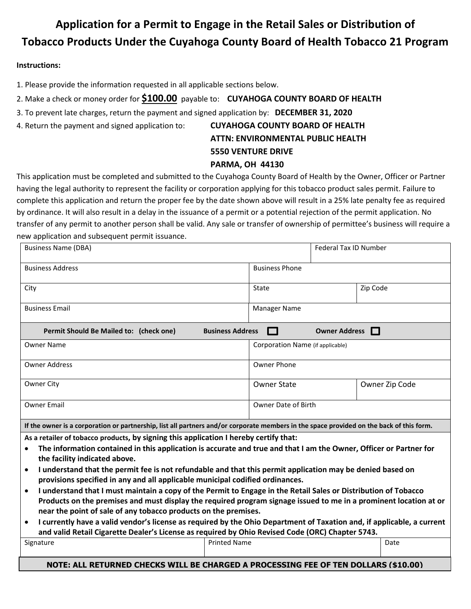## **Application for a Permit to Engage in the Retail Sales or Distribution of Tobacco Products Under the Cuyahoga County Board of Health Tobacco 21 Program**

#### **Instructions:**

1. Please provide the information requested in all applicable sections below.

- 2. Make a check or money order for **\$100.00** payable to: **CUYAHOGA COUNTY BOARD OF HEALTH**
- 3. To prevent late charges, return the payment and signed application by: **DECEMBER 31, 2020**
- 4. Return the payment and signed application to: **CUYAHOGA COUNTY BOARD OF HEALTH**

# **ATTN: ENVIRONMENTAL PUBLIC HEALTH 5550 VENTURE DRIVE**

### **PARMA, OH 44130**

This application must be completed and submitted to the Cuyahoga County Board of Health by the Owner, Officer or Partner having the legal authority to represent the facility or corporation applying for this tobacco product sales permit. Failure to complete this application and return the proper fee by the date shown above will result in a 25% late penalty fee as required by ordinance. It will also result in a delay in the issuance of a permit or a potential rejection of the permit application. No transfer of any permit to another person shall be valid. Any sale or transfer of ownership of permittee's business will require a new application and subsequent permit issuance.

| <b>Business Name (DBA)</b>                                                                                                                                                                                                                                                                                                                                                                                                                                                                                                                                                                                                                                                                                                                                                                                                                                                                                                                                                                                                  |                                  | Federal Tax ID Number  |                |  |  |  |  |
|-----------------------------------------------------------------------------------------------------------------------------------------------------------------------------------------------------------------------------------------------------------------------------------------------------------------------------------------------------------------------------------------------------------------------------------------------------------------------------------------------------------------------------------------------------------------------------------------------------------------------------------------------------------------------------------------------------------------------------------------------------------------------------------------------------------------------------------------------------------------------------------------------------------------------------------------------------------------------------------------------------------------------------|----------------------------------|------------------------|----------------|--|--|--|--|
| <b>Business Address</b>                                                                                                                                                                                                                                                                                                                                                                                                                                                                                                                                                                                                                                                                                                                                                                                                                                                                                                                                                                                                     | <b>Business Phone</b>            |                        |                |  |  |  |  |
| City                                                                                                                                                                                                                                                                                                                                                                                                                                                                                                                                                                                                                                                                                                                                                                                                                                                                                                                                                                                                                        | State                            |                        | Zip Code       |  |  |  |  |
| <b>Business Email</b>                                                                                                                                                                                                                                                                                                                                                                                                                                                                                                                                                                                                                                                                                                                                                                                                                                                                                                                                                                                                       | <b>Manager Name</b>              |                        |                |  |  |  |  |
| Permit Should Be Mailed to: (check one)                                                                                                                                                                                                                                                                                                                                                                                                                                                                                                                                                                                                                                                                                                                                                                                                                                                                                                                                                                                     | <b>Business Address</b>          | Owner Address <b>D</b> |                |  |  |  |  |
| <b>Owner Name</b>                                                                                                                                                                                                                                                                                                                                                                                                                                                                                                                                                                                                                                                                                                                                                                                                                                                                                                                                                                                                           | Corporation Name (if applicable) |                        |                |  |  |  |  |
| <b>Owner Address</b>                                                                                                                                                                                                                                                                                                                                                                                                                                                                                                                                                                                                                                                                                                                                                                                                                                                                                                                                                                                                        | Owner Phone                      |                        |                |  |  |  |  |
| Owner City                                                                                                                                                                                                                                                                                                                                                                                                                                                                                                                                                                                                                                                                                                                                                                                                                                                                                                                                                                                                                  | <b>Owner State</b>               |                        | Owner Zip Code |  |  |  |  |
| <b>Owner Email</b>                                                                                                                                                                                                                                                                                                                                                                                                                                                                                                                                                                                                                                                                                                                                                                                                                                                                                                                                                                                                          | Owner Date of Birth              |                        |                |  |  |  |  |
| If the owner is a corporation or partnership, list all partners and/or corporate members in the space provided on the back of this form.                                                                                                                                                                                                                                                                                                                                                                                                                                                                                                                                                                                                                                                                                                                                                                                                                                                                                    |                                  |                        |                |  |  |  |  |
| As a retailer of tobacco products, by signing this application I hereby certify that:<br>The information contained in this application is accurate and true and that I am the Owner, Officer or Partner for<br>the facility indicated above.<br>I understand that the permit fee is not refundable and that this permit application may be denied based on<br>$\bullet$<br>provisions specified in any and all applicable municipal codified ordinances.<br>I understand that I must maintain a copy of the Permit to Engage in the Retail Sales or Distribution of Tobacco<br>$\bullet$<br>Products on the premises and must display the required program signage issued to me in a prominent location at or<br>near the point of sale of any tobacco products on the premises.<br>I currently have a valid vendor's license as required by the Ohio Department of Taxation and, if applicable, a current<br>$\bullet$<br>and valid Retail Cigarette Dealer's License as required by Ohio Revised Code (ORC) Chapter 5743. |                                  |                        |                |  |  |  |  |
| Signature                                                                                                                                                                                                                                                                                                                                                                                                                                                                                                                                                                                                                                                                                                                                                                                                                                                                                                                                                                                                                   | <b>Printed Name</b>              |                        | Date           |  |  |  |  |
| NOTE: ALL RETURNED CHECKS WILL BE CHARGED A PROCESSING FEE OF TEN DOLLARS (\$10.00)                                                                                                                                                                                                                                                                                                                                                                                                                                                                                                                                                                                                                                                                                                                                                                                                                                                                                                                                         |                                  |                        |                |  |  |  |  |